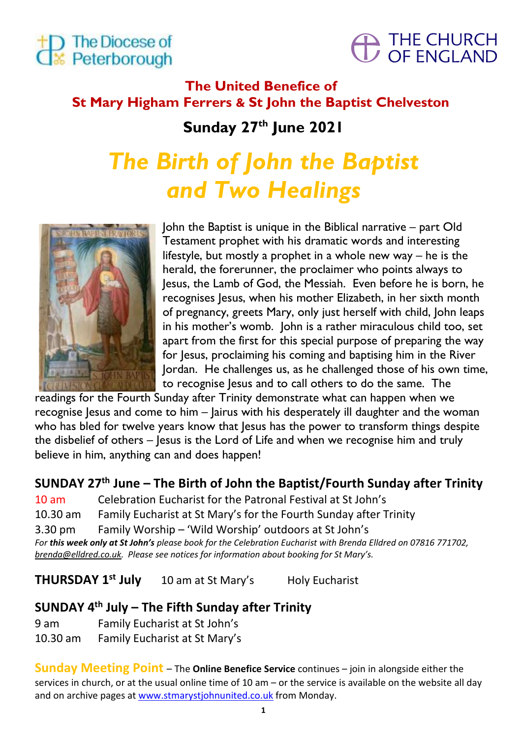



# **The United Benefice of St Mary Higham Ferrers & St John the Baptist Chelveston**

**Sunday 27 th June 2021**

# *The Birth of John the Baptist and Two Healings*



John the Baptist is unique in the Biblical narrative – part Old Testament prophet with his dramatic words and interesting lifestyle, but mostly a prophet in a whole new way – he is the herald, the forerunner, the proclaimer who points always to Jesus, the Lamb of God, the Messiah. Even before he is born, he recognises Jesus, when his mother Elizabeth, in her sixth month of pregnancy, greets Mary, only just herself with child, John leaps in his mother's womb. John is a rather miraculous child too, set apart from the first for this special purpose of preparing the way for Jesus, proclaiming his coming and baptising him in the River Jordan. He challenges us, as he challenged those of his own time, to recognise Jesus and to call others to do the same. The

readings for the Fourth Sunday after Trinity demonstrate what can happen when we recognise Jesus and come to him – Jairus with his desperately ill daughter and the woman who has bled for twelve years know that Jesus has the power to transform things despite the disbelief of others – Jesus is the Lord of Life and when we recognise him and truly believe in him, anything can and does happen!

**SUNDAY 27 th June – The Birth of John the Baptist/Fourth Sunday after Trinity**

10 am Celebration Eucharist for the Patronal Festival at St John's 10.30 am Family Eucharist at St Mary's for the Fourth Sunday after Trinity 3.30 pm Family Worship – 'Wild Worship' outdoors at St John's *For this week only at St John's please book for the Celebration Eucharist with Brenda Elldred on 07816 771702, [brenda@elldred.co.uk](mailto:brenda@elldred.co.uk). Please see notices for information about booking for St Mary's.*

**THURSDAY 1** 10 am at St Mary's **Holy Eucharist** 

# **SUNDAY 4 th July – The Fifth Sunday after Trinity**

9 am Family Eucharist at St John's

10.30 am Family Eucharist at St Mary's

**Sunday Meeting Point** – The **Online Benefice Service** continues – join in alongside either the services in church, or at the usual online time of 10 am – or the service is available on the website all day and on archive pages at www.stmarystjohnunited.co.uk from Monday.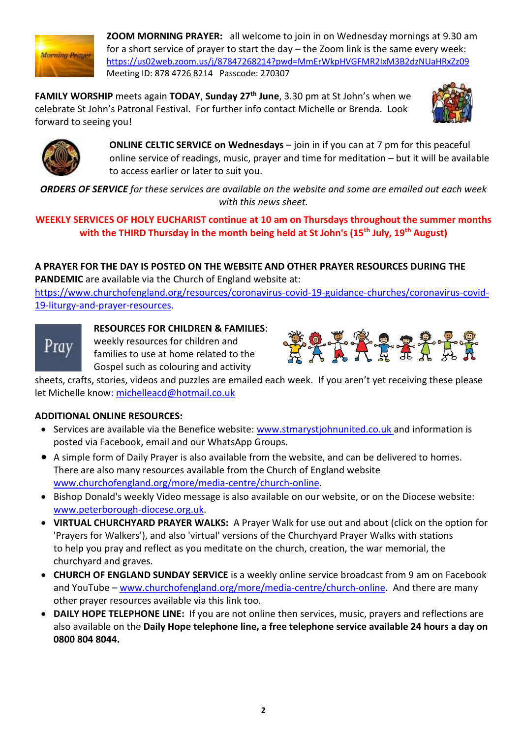

**ZOOM MORNING PRAYER:** all welcome to join in on Wednesday mornings at 9.30 am for a short service of prayer to start the day – the Zoom link is the same every week: <https://us02web.zoom.us/j/87847268214?pwd=MmErWkpHVGFMR2IxM3B2dzNUaHRxZz09> Meeting ID: 878 4726 8214 Passcode: 270307

**FAMILY WORSHIP** meets again **TODAY**, **Sunday 27th June**, 3.30 pm at St John's when we celebrate St John's Patronal Festival. For further info contact Michelle or Brenda. Look forward to seeing you!





**ONLINE CELTIC SERVICE on Wednesdays** – join in if you can at 7 pm for this peaceful online service of readings, music, prayer and time for meditation – but it will be available to access earlier or later to suit you.

*ORDERS OF SERVICE for these services are available on the website and some are emailed out each week with this news sheet.*

#### **WEEKLY SERVICES OF HOLY EUCHARIST continue at 10 am on Thursdays throughout the summer months with the THIRD Thursday in the month being held at St John's (15th July, 19th August)**

### **A PRAYER FOR THE DAY IS POSTED ON THE WEBSITE AND OTHER PRAYER RESOURCES DURING THE**

**PANDEMIC** are available via the Church of England website at:

[https://www.churchofengland.org/resources/coronavirus-covid-19-guidance-churches/coronavirus-covid-](https://www.churchofengland.org/resources/coronavirus-covid-19-guidance-churches/coronavirus-covid-19-liturgy-and-prayer-resources)[19-liturgy-and-prayer-resources.](https://www.churchofengland.org/resources/coronavirus-covid-19-guidance-churches/coronavirus-covid-19-liturgy-and-prayer-resources)



#### **RESOURCES FOR CHILDREN & FAMILIES**:

weekly resources for children and families to use at home related to the Gospel such as colouring and activity



sheets, crafts, stories, videos and puzzles are emailed each week. If you aren't yet receiving these please let Michelle know: [michelleacd@hotmail.co.uk](mailto:michelleacd@hotmail.co.uk)

### **ADDITIONAL ONLINE RESOURCES:**

- Services are available via the Benefice website: [www.stmarystjohnunited.co.uk](http://www.stmarystjohnunited.co.uk/) and information is posted via Facebook, email and our WhatsApp Groups.
- A simple form of Daily Prayer is also available from the website, and can be delivered to homes. There are also many resources available from the Church of England website [www.churchofengland.org/more/media-centre/church-online.](http://www.churchofengland.org/more/media-centre/church-online)
- Bishop Donald's weekly Video message is also available on our website, or on the Diocese website: [www.peterborough-diocese.org.uk.](http://www.peterborough-diocese.org.uk/)
- **VIRTUAL CHURCHYARD PRAYER WALKS:** A Prayer Walk for use out and about (click on the option for 'Prayers for Walkers'), and also 'virtual' versions of the Churchyard Prayer Walks with stations to help you pray and reflect as you meditate on the church, creation, the war memorial, the churchyard and graves.
- **CHURCH OF ENGLAND SUNDAY SERVICE** is a weekly online service broadcast from 9 am on Facebook and YouTube – [www.churchofengland.org/more/media-centre/church-online.](https://www.churchofengland.org/more/media-centre/church-online/previous-online-services) And there are many other prayer resources available via this link too.
- **DAILY HOPE TELEPHONE LINE:** If you are not online then services, music, prayers and reflections are also available on the **Daily Hope telephone line, a free telephone service available 24 hours a day on 0800 804 8044.**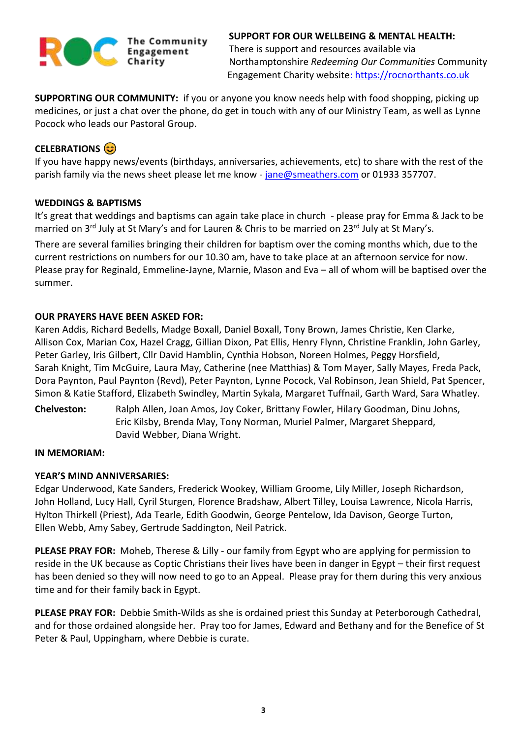

**SUPPORT FOR OUR WELLBEING & MENTAL HEALTH:** There is support and resources available via Northamptonshire *Redeeming Our Communities* Community Engagement Charity website: [https://rocnorthants.co.uk](https://rocnorthants.co.uk/)

**SUPPORTING OUR COMMUNITY:** if you or anyone you know needs help with food shopping, picking up medicines, or just a chat over the phone, do get in touch with any of our Ministry Team, as well as Lynne Pocock who leads our Pastoral Group.

#### **CELEBRATIONS**

If you have happy news/events (birthdays, anniversaries, achievements, etc) to share with the rest of the parish family via the news sheet please let me know - [jane@smeathers.com](mailto:jane@smeathers.com) or 01933 357707.

#### **WEDDINGS & BAPTISMS**

It's great that weddings and baptisms can again take place in church - please pray for Emma & Jack to be married on 3<sup>rd</sup> July at St Mary's and for Lauren & Chris to be married on 23<sup>rd</sup> July at St Mary's.

There are several families bringing their children for baptism over the coming months which, due to the current restrictions on numbers for our 10.30 am, have to take place at an afternoon service for now. Please pray for Reginald, Emmeline-Jayne, Marnie, Mason and Eva – all of whom will be baptised over the summer.

#### **OUR PRAYERS HAVE BEEN ASKED FOR:**

Karen Addis, Richard Bedells, Madge Boxall, Daniel Boxall, Tony Brown, James Christie, Ken Clarke, Allison Cox, Marian Cox, Hazel Cragg, Gillian Dixon, Pat Ellis, Henry Flynn, Christine Franklin, John Garley, Peter Garley, Iris Gilbert, Cllr David Hamblin, Cynthia Hobson, Noreen Holmes, Peggy Horsfield, Sarah Knight, Tim McGuire, Laura May, Catherine (nee Matthias) & Tom Mayer, Sally Mayes, Freda Pack, Dora Paynton, Paul Paynton (Revd), Peter Paynton, Lynne Pocock, Val Robinson, Jean Shield, Pat Spencer, Simon & Katie Stafford, Elizabeth Swindley, Martin Sykala, Margaret Tuffnail, Garth Ward, Sara Whatley.

**Chelveston:** Ralph Allen, Joan Amos, Joy Coker, Brittany Fowler, Hilary Goodman, Dinu Johns, Eric Kilsby, Brenda May, Tony Norman, Muriel Palmer, Margaret Sheppard, David Webber, Diana Wright.

#### **IN MEMORIAM:**

#### **YEAR'S MIND ANNIVERSARIES:**

Edgar Underwood, Kate Sanders, Frederick Wookey, William Groome, Lily Miller, Joseph Richardson, John Holland, Lucy Hall, Cyril Sturgen, Florence Bradshaw, Albert Tilley, Louisa Lawrence, Nicola Harris, Hylton Thirkell (Priest), Ada Tearle, Edith Goodwin, George Pentelow, Ida Davison, George Turton, Ellen Webb, Amy Sabey, Gertrude Saddington, Neil Patrick.

**PLEASE PRAY FOR:** Moheb, Therese & Lilly - our family from Egypt who are applying for permission to reside in the UK because as Coptic Christians their lives have been in danger in Egypt – their first request has been denied so they will now need to go to an Appeal. Please pray for them during this very anxious time and for their family back in Egypt.

**PLEASE PRAY FOR:** Debbie Smith-Wilds as she is ordained priest this Sunday at Peterborough Cathedral, and for those ordained alongside her. Pray too for James, Edward and Bethany and for the Benefice of St Peter & Paul, Uppingham, where Debbie is curate.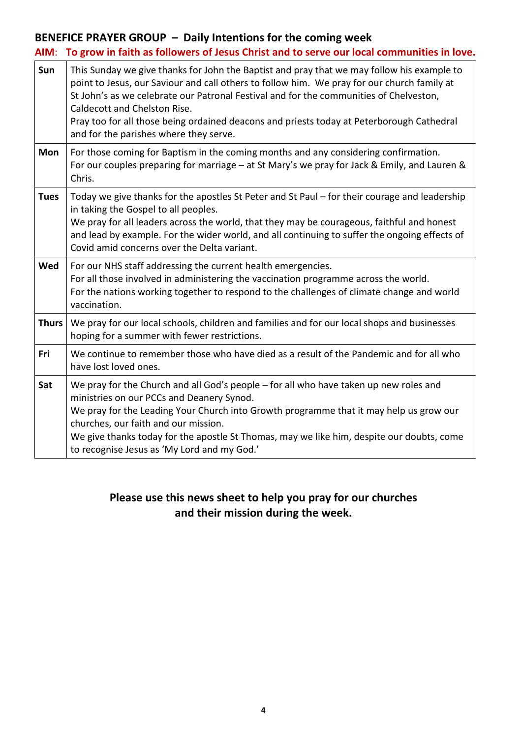# **BENEFICE PRAYER GROUP – Daily Intentions for the coming week**

| AIM:         | To grow in faith as followers of Jesus Christ and to serve our local communities in love.                                                                                                                                                                                                                                                                                                                                                                  |
|--------------|------------------------------------------------------------------------------------------------------------------------------------------------------------------------------------------------------------------------------------------------------------------------------------------------------------------------------------------------------------------------------------------------------------------------------------------------------------|
| Sun          | This Sunday we give thanks for John the Baptist and pray that we may follow his example to<br>point to Jesus, our Saviour and call others to follow him. We pray for our church family at<br>St John's as we celebrate our Patronal Festival and for the communities of Chelveston,<br>Caldecott and Chelston Rise.<br>Pray too for all those being ordained deacons and priests today at Peterborough Cathedral<br>and for the parishes where they serve. |
| Mon          | For those coming for Baptism in the coming months and any considering confirmation.<br>For our couples preparing for marriage - at St Mary's we pray for Jack & Emily, and Lauren &<br>Chris.                                                                                                                                                                                                                                                              |
| <b>Tues</b>  | Today we give thanks for the apostles St Peter and St Paul – for their courage and leadership<br>in taking the Gospel to all peoples.<br>We pray for all leaders across the world, that they may be courageous, faithful and honest<br>and lead by example. For the wider world, and all continuing to suffer the ongoing effects of<br>Covid amid concerns over the Delta variant.                                                                        |
| Wed          | For our NHS staff addressing the current health emergencies.<br>For all those involved in administering the vaccination programme across the world.<br>For the nations working together to respond to the challenges of climate change and world<br>vaccination.                                                                                                                                                                                           |
| <b>Thurs</b> | We pray for our local schools, children and families and for our local shops and businesses<br>hoping for a summer with fewer restrictions.                                                                                                                                                                                                                                                                                                                |
| Fri          | We continue to remember those who have died as a result of the Pandemic and for all who<br>have lost loved ones.                                                                                                                                                                                                                                                                                                                                           |
| Sat          | We pray for the Church and all God's people - for all who have taken up new roles and<br>ministries on our PCCs and Deanery Synod.<br>We pray for the Leading Your Church into Growth programme that it may help us grow our<br>churches, our faith and our mission.<br>We give thanks today for the apostle St Thomas, may we like him, despite our doubts, come<br>to recognise Jesus as 'My Lord and my God.'                                           |

## **Please use this news sheet to help you pray for our churches and their mission during the week.**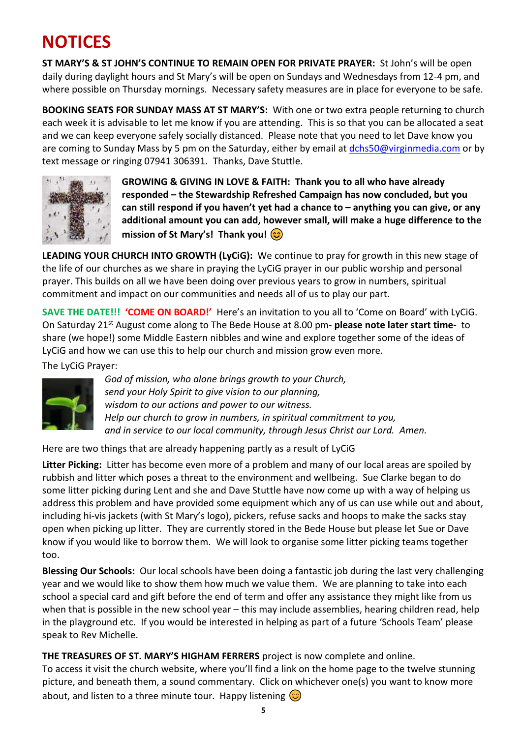# **NOTICES**

**ST MARY'S & ST JOHN'S CONTINUE TO REMAIN OPEN FOR PRIVATE PRAYER:** St John's will be open daily during daylight hours and St Mary's will be open on Sundays and Wednesdays from 12-4 pm, and where possible on Thursday mornings. Necessary safety measures are in place for everyone to be safe.

**BOOKING SEATS FOR SUNDAY MASS AT ST MARY'S:** With one or two extra people returning to church each week it is advisable to let me know if you are attending. This is so that you can be allocated a seat and we can keep everyone safely socially distanced. Please note that you need to let Dave know you are coming to Sunday Mass by 5 pm on the Saturday, either by email at [dchs50@virginmedia.com](mailto:dchs50@virginmedia.com) or by text message or ringing 07941 306391. Thanks, Dave Stuttle.



**GROWING & GIVING IN LOVE & FAITH: Thank you to all who have already responded – the Stewardship Refreshed Campaign has now concluded, but you can still respond if you haven't yet had a chance to – anything you can give, or any additional amount you can add, however small, will make a huge difference to the mission of St Mary's! Thank you!**

**LEADING YOUR CHURCH INTO GROWTH (LyCiG):** We continue to pray for growth in this new stage of the life of our churches as we share in praying the LyCiG prayer in our public worship and personal prayer. This builds on all we have been doing over previous years to grow in numbers, spiritual commitment and impact on our communities and needs all of us to play our part.

**SAVE THE DATE!!! 'COME ON BOARD!'** Here's an invitation to you all to 'Come on Board' with LyCiG. On Saturday 21st August come along to The Bede House at 8.00 pm- **please note later start time-** to share (we hope!) some Middle Eastern nibbles and wine and explore together some of the ideas of LyCiG and how we can use this to help our church and mission grow even more.

The LyCiG Prayer:



*God of mission, who alone brings growth to your Church, send your Holy Spirit to give vision to our planning, wisdom to our actions and power to our witness. Help our church to grow in numbers, in spiritual commitment to you, and in service to our local community, through Jesus Christ our Lord. Amen.*

Here are two things that are already happening partly as a result of LyCiG

**Litter Picking:** Litter has become even more of a problem and many of our local areas are spoiled by rubbish and litter which poses a threat to the environment and wellbeing. Sue Clarke began to do some litter picking during Lent and she and Dave Stuttle have now come up with a way of helping us address this problem and have provided some equipment which any of us can use while out and about, including hi-vis jackets (with St Mary's logo), pickers, refuse sacks and hoops to make the sacks stay open when picking up litter. They are currently stored in the Bede House but please let Sue or Dave know if you would like to borrow them. We will look to organise some litter picking teams together too.

**Blessing Our Schools:** Our local schools have been doing a fantastic job during the last very challenging year and we would like to show them how much we value them. We are planning to take into each school a special card and gift before the end of term and offer any assistance they might like from us when that is possible in the new school year – this may include assemblies, hearing children read, help in the playground etc. If you would be interested in helping as part of a future 'Schools Team' please speak to Rev Michelle.

**THE TREASURES OF ST. MARY'S HIGHAM FERRERS** project is now complete and online.

To access it visit the church website, where you'll find a link on the home page to the twelve stunning picture, and beneath them, a sound commentary. Click on whichever one(s) you want to know more about, and listen to a three minute tour. Happy listening  $\odot$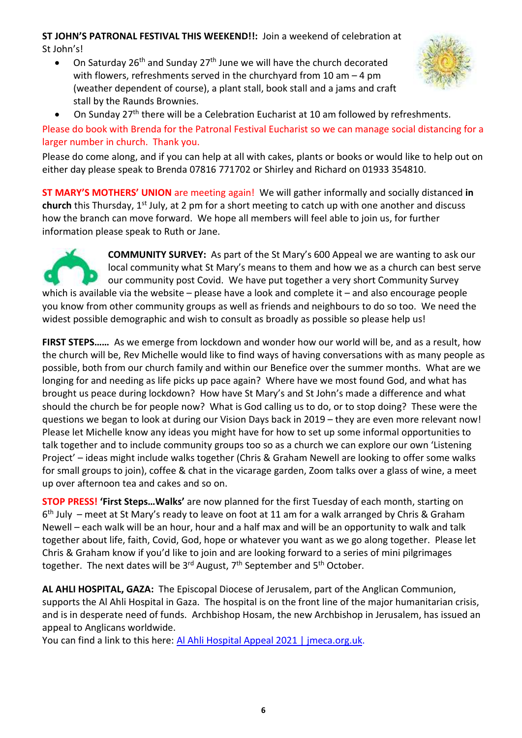#### **ST JOHN'S PATRONAL FESTIVAL THIS WEEKEND!!:** Join a weekend of celebration at St John's!

• On Saturday  $26^{th}$  and Sunday  $27^{th}$  June we will have the church decorated with flowers, refreshments served in the churchyard from 10 am – 4 pm (weather dependent of course), a plant stall, book stall and a jams and craft stall by the Raunds Brownies.



• On Sunday 27<sup>th</sup> there will be a Celebration Eucharist at 10 am followed by refreshments.

Please do book with Brenda for the Patronal Festival Eucharist so we can manage social distancing for a larger number in church. Thank you.

Please do come along, and if you can help at all with cakes, plants or books or would like to help out on either day please speak to Brenda 07816 771702 or Shirley and Richard on 01933 354810.

**ST MARY'S MOTHERS' UNION** are meeting again! We will gather informally and socially distanced **in** church this Thursday, 1<sup>st</sup> July, at 2 pm for a short meeting to catch up with one another and discuss how the branch can move forward. We hope all members will feel able to join us, for further information please speak to Ruth or Jane.



**COMMUNITY SURVEY:** As part of the St Mary's 600 Appeal we are wanting to ask our local community what St Mary's means to them and how we as a church can best serve our community post Covid. We have put together a very short Community Survey which is available via the website – please have a look and complete it – and also encourage people

you know from other community groups as well as friends and neighbours to do so too. We need the widest possible demographic and wish to consult as broadly as possible so please help us!

**FIRST STEPS……** As we emerge from lockdown and wonder how our world will be, and as a result, how the church will be, Rev Michelle would like to find ways of having conversations with as many people as possible, both from our church family and within our Benefice over the summer months. What are we longing for and needing as life picks up pace again? Where have we most found God, and what has brought us peace during lockdown? How have St Mary's and St John's made a difference and what should the church be for people now? What is God calling us to do, or to stop doing? These were the questions we began to look at during our Vision Days back in 2019 – they are even more relevant now! Please let Michelle know any ideas you might have for how to set up some informal opportunities to talk together and to include community groups too so as a church we can explore our own 'Listening Project' – ideas might include walks together (Chris & Graham Newell are looking to offer some walks for small groups to join), coffee & chat in the vicarage garden, Zoom talks over a glass of wine, a meet up over afternoon tea and cakes and so on.

**STOP PRESS! 'First Steps…Walks'** are now planned for the first Tuesday of each month, starting on 6<sup>th</sup> July – meet at St Mary's ready to leave on foot at 11 am for a walk arranged by Chris & Graham Newell – each walk will be an hour, hour and a half max and will be an opportunity to walk and talk together about life, faith, Covid, God, hope or whatever you want as we go along together. Please let Chris & Graham know if you'd like to join and are looking forward to a series of mini pilgrimages together. The next dates will be 3<sup>rd</sup> August, 7<sup>th</sup> September and 5<sup>th</sup> October.

**AL AHLI HOSPITAL, GAZA:** The Episcopal Diocese of Jerusalem, part of the Anglican Communion, supports the Al Ahli Hospital in Gaza. The hospital is on the front line of the major humanitarian crisis, and is in desperate need of funds. Archbishop Hosam, the new Archbishop in Jerusalem, has issued an appeal to Anglicans worldwide.

You can find a link to this here: Al Ahli Hospital Appeal 2021 | [jmeca.org.uk.](https://emea01.safelinks.protection.outlook.com/?url=https%3A%2F%2Fwww.jmeca.org.uk%2Fget-involved%2Fdonate%2Fcurrent-appeals-0%2Fal-ahli-hospital-appeal-2021&data=04%7C01%7C%7Ced1c19d1648d4a0f937408d9237402eb%7C84df9e7fe9f640afb435aaaaaaaaaaaa%7C1%7C0%7C637579804017966272%7CUnknown%7CTWFpbGZsb3d8eyJWIjoiMC4wLjAwMDAiLCJQIjoiV2luMzIiLCJBTiI6Ik1haWwiLCJXVCI6Mn0%3D%7C1000&sdata=uF13ppNSqW3dS%2F05ZeUvxXiDerXexiocl%2B4DUX22u%2Fs%3D&reserved=0)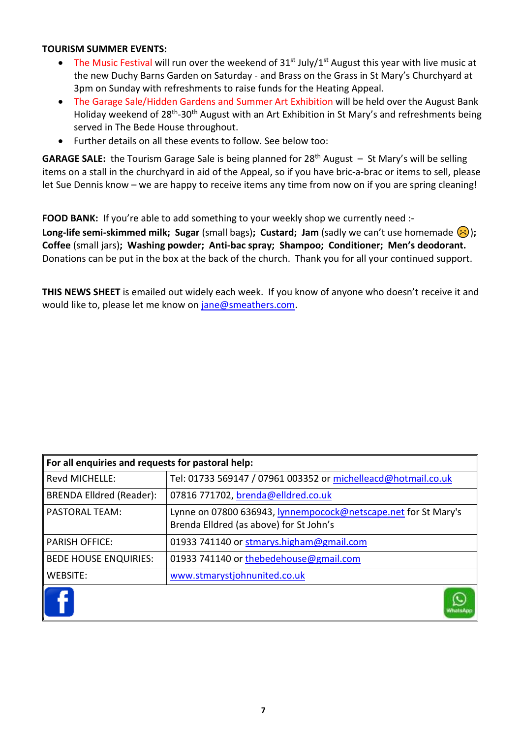#### **TOURISM SUMMER EVENTS:**

- The Music Festival will run over the weekend of  $31^{st}$  July/ $1^{st}$  August this year with live music at the new Duchy Barns Garden on Saturday - and Brass on the Grass in St Mary's Churchyard at 3pm on Sunday with refreshments to raise funds for the Heating Appeal.
- The Garage Sale/Hidden Gardens and Summer Art Exhibition will be held over the August Bank Holiday weekend of 28<sup>th</sup>-30<sup>th</sup> August with an Art Exhibition in St Mary's and refreshments being served in The Bede House throughout.
- Further details on all these events to follow. See below too:

**GARAGE SALE:** the Tourism Garage Sale is being planned for 28th August – St Mary's will be selling items on a stall in the churchyard in aid of the Appeal, so if you have bric-a-brac or items to sell, please let Sue Dennis know – we are happy to receive items any time from now on if you are spring cleaning!

**FOOD BANK:** If you're able to add something to your weekly shop we currently need :-

**Long-life semi-skimmed milk; Sugar** (small bags); **Custard; Jam** (sadly we can't use homemade  $\langle \cdot \rangle$ ); **Coffee** (small jars)**; Washing powder; Anti-bac spray; Shampoo; Conditioner; Men's deodorant.** Donations can be put in the box at the back of the church. Thank you for all your continued support.

**THIS NEWS SHEET** is emailed out widely each week. If you know of anyone who doesn't receive it and would like to, please let me know on [jane@smeathers.com.](mailto:jane@smeathers.com)

| For all enquiries and requests for pastoral help: |                                                                                                           |  |  |
|---------------------------------------------------|-----------------------------------------------------------------------------------------------------------|--|--|
| Revd MICHELLE:                                    | Tel: 01733 569147 / 07961 003352 or michelleacd@hotmail.co.uk                                             |  |  |
| <b>BRENDA Elldred (Reader):</b>                   | 07816 771702, brenda@elldred.co.uk                                                                        |  |  |
| <b>PASTORAL TEAM:</b>                             | Lynne on 07800 636943, lynnempocock@netscape.net for St Mary's<br>Brenda Elldred (as above) for St John's |  |  |
| <b>PARISH OFFICE:</b>                             | 01933 741140 or stmarys.higham@gmail.com                                                                  |  |  |
| <b>BEDE HOUSE ENQUIRIES:</b>                      | 01933 741140 or thebedehouse@gmail.com                                                                    |  |  |
| WEBSITE:                                          | www.stmarystjohnunited.co.uk                                                                              |  |  |
|                                                   |                                                                                                           |  |  |

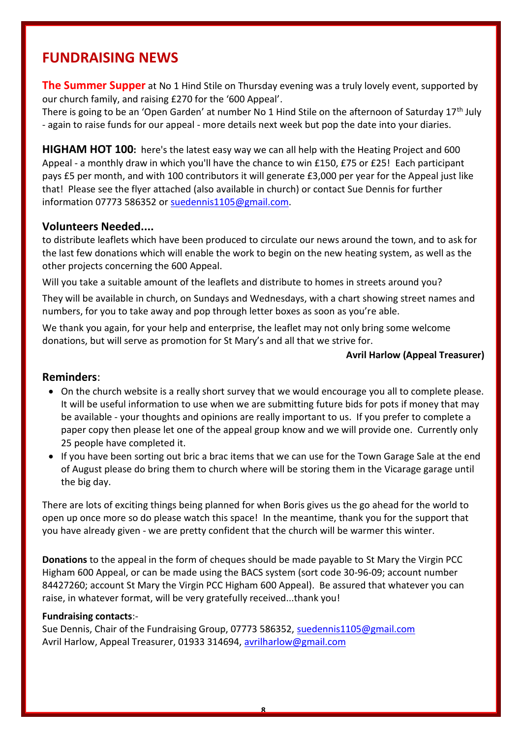# **FUNDRAISING NEWS**

**The Summer Supper** at No 1 Hind Stile on Thursday evening was a truly lovely event, supported by our church family, and raising £270 for the '600 Appeal'.

There is going to be an 'Open Garden' at number No 1 Hind Stile on the afternoon of Saturday 17<sup>th</sup> July - again to raise funds for our appeal - more details next week but pop the date into your diaries.

**HIGHAM HOT 100:** here's the latest easy way we can all help with the Heating Project and 600 Appeal - a monthly draw in which you'll have the chance to win £150, £75 or £25! Each participant pays £5 per month, and with 100 contributors it will generate £3,000 per year for the Appeal just like that! Please see the flyer attached (also available in church) or contact Sue Dennis for further information 07773 586352 or [suedennis1105@gmail.com.](mailto:suedennis@jetnet.co.uk)

#### **Volunteers Needed....**

to distribute leaflets which have been produced to circulate our news around the town, and to ask for the last few donations which will enable the work to begin on the new heating system, as well as the other projects concerning the 600 Appeal.

Will you take a suitable amount of the leaflets and distribute to homes in streets around you?

They will be available in church, on Sundays and Wednesdays, with a chart showing street names and numbers, for you to take away and pop through letter boxes as soon as you're able.

We thank you again, for your help and enterprise, the leaflet may not only bring some welcome donations, but will serve as promotion for St Mary's and all that we strive for.

#### **Avril Harlow (Appeal Treasurer)**

#### **Reminders**:

- On the church website is a really short survey that we would encourage you all to complete please. It will be useful information to use when we are submitting future bids for pots if money that may be available - your thoughts and opinions are really important to us. If you prefer to complete a paper copy then please let one of the appeal group know and we will provide one. Currently only 25 people have completed it.
- If you have been sorting out bric a brac items that we can use for the Town Garage Sale at the end of August please do bring them to church where will be storing them in the Vicarage garage until the big day.

There are lots of exciting things being planned for when Boris gives us the go ahead for the world to open up once more so do please watch this space! In the meantime, thank you for the support that you have already given - we are pretty confident that the church will be warmer this winter.

**Donations** to the appeal in the form of cheques should be made payable to St Mary the Virgin PCC Higham 600 Appeal, or can be made using the BACS system (sort code 30-96-09; account number 84427260; account St Mary the Virgin PCC Higham 600 Appeal). Be assured that whatever you can raise, in whatever format, will be very gratefully received...thank you!

#### **Fundraising contacts**:-

Sue Dennis, Chair of the Fundraising Group, 07773 586352, [suedennis1105@gmail.com](mailto:suedennis1105@gmail.com) Avril Harlow, Appeal Treasurer, 01933 314694, [avrilharlow@gmail.com](mailto:avrilharlow@gmail.com)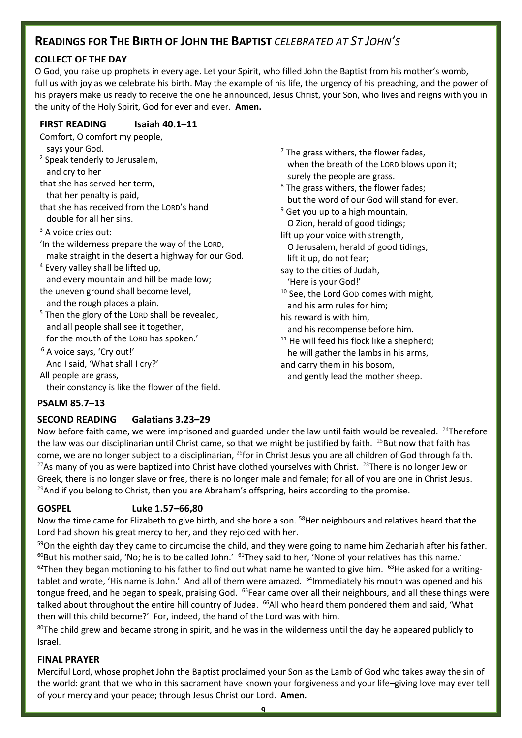### **READINGS FOR THE BIRTH OF JOHN THE BAPTIST** *CELEBRATED AT ST JOHN'S*

#### **COLLECT OF THE DAY**

O God, you raise up prophets in every age. Let your Spirit, who filled John the Baptist from his mother's womb, full us with joy as we celebrate his birth. May the example of his life, the urgency of his preaching, and the power of his prayers make us ready to receive the one he announced, Jesus Christ, your Son, who lives and reigns with you in the unity of the Holy Spirit, God for ever and ever. **Amen.**

#### **FIRST READING Isaiah 40.1–11**

- Comfort, O comfort my people, says your God.
- <sup>2</sup> Speak tenderly to Jerusalem, and cry to her
- that she has served her term, that her penalty is paid,
- that she has received from the LORD's hand double for all her sins.
- <sup>3</sup> A voice cries out:
- 'In the wilderness prepare the way of the LORD, make straight in the desert a highway for our God.
- <sup>4</sup> Every valley shall be lifted up, and every mountain and hill be made low;
- the uneven ground shall become level, and the rough places a plain.
- <sup>5</sup> Then the glory of the LORD shall be revealed, and all people shall see it together, for the mouth of the LORD has spoken.'
- <sup>6</sup> A voice says, 'Cry out!' And I said, 'What shall I cry?'

All people are grass, their constancy is like the flower of the field.

- $<sup>7</sup>$  The grass withers, the flower fades,</sup> when the breath of the LORD blows upon it; surely the people are grass.
- <sup>8</sup> The grass withers, the flower fades; but the word of our God will stand for ever.
- $9$  Get you up to a high mountain, O Zion, herald of good tidings;
- lift up your voice with strength, O Jerusalem, herald of good tidings,
- lift it up, do not fear;
- say to the cities of Judah, 'Here is your God!'
- <sup>10</sup> See, the Lord GOD comes with might, and his arm rules for him;
- his reward is with him,
- and his recompense before him.
- $11$  He will feed his flock like a shepherd; he will gather the lambs in his arms, and carry them in his bosom,
- and gently lead the mother sheep.

#### **PSALM 85.7–13**

#### **SECOND READING Galatians 3.23–29**

Now before faith came, we were imprisoned and guarded under the law until faith would be revealed. <sup>24</sup>Therefore the law was our disciplinarian until Christ came, so that we might be justified by faith. <sup>25</sup>But now that faith has come, we are no longer subject to a disciplinarian, <sup>26</sup>for in Christ Jesus you are all children of God through faith. <sup>27</sup>As many of you as were baptized into Christ have clothed yourselves with Christ. <sup>28</sup>There is no longer Jew or Greek, there is no longer slave or free, there is no longer male and female; for all of you are one in Christ Jesus. <sup>29</sup>And if you belong to Christ, then you are Abraham's offspring, heirs according to the promise.

#### **GOSPEL Luke 1.57–66,80**

Now the time came for Elizabeth to give birth, and she bore a son. <sup>58</sup>Her neighbours and relatives heard that the Lord had shown his great mercy to her, and they rejoiced with her.

<sup>59</sup>On the eighth day they came to circumcise the child, and they were going to name him Zechariah after his father.  $60$ But his mother said, 'No; he is to be called John.'  $61$ They said to her, 'None of your relatives has this name.'  $62$ Then they began motioning to his father to find out what name he wanted to give him.  $63$ He asked for a writingtablet and wrote, 'His name is John.' And all of them were amazed. <sup>64</sup>Immediately his mouth was opened and his tongue freed, and he began to speak, praising God.  $^{65}$ Fear came over all their neighbours, and all these things were talked about throughout the entire hill country of Judea. <sup>66</sup>All who heard them pondered them and said, 'What then will this child become?' For, indeed, the hand of the Lord was with him.

 $80$ The child grew and became strong in spirit, and he was in the wilderness until the day he appeared publicly to Israel.

#### **FINAL PRAYER**

Merciful Lord, whose prophet John the Baptist proclaimed your Son as the Lamb of God who takes away the sin of the world: grant that we who in this sacrament have known your forgiveness and your life–giving love may ever tell of your mercy and your peace; through Jesus Christ our Lord. **Amen.**